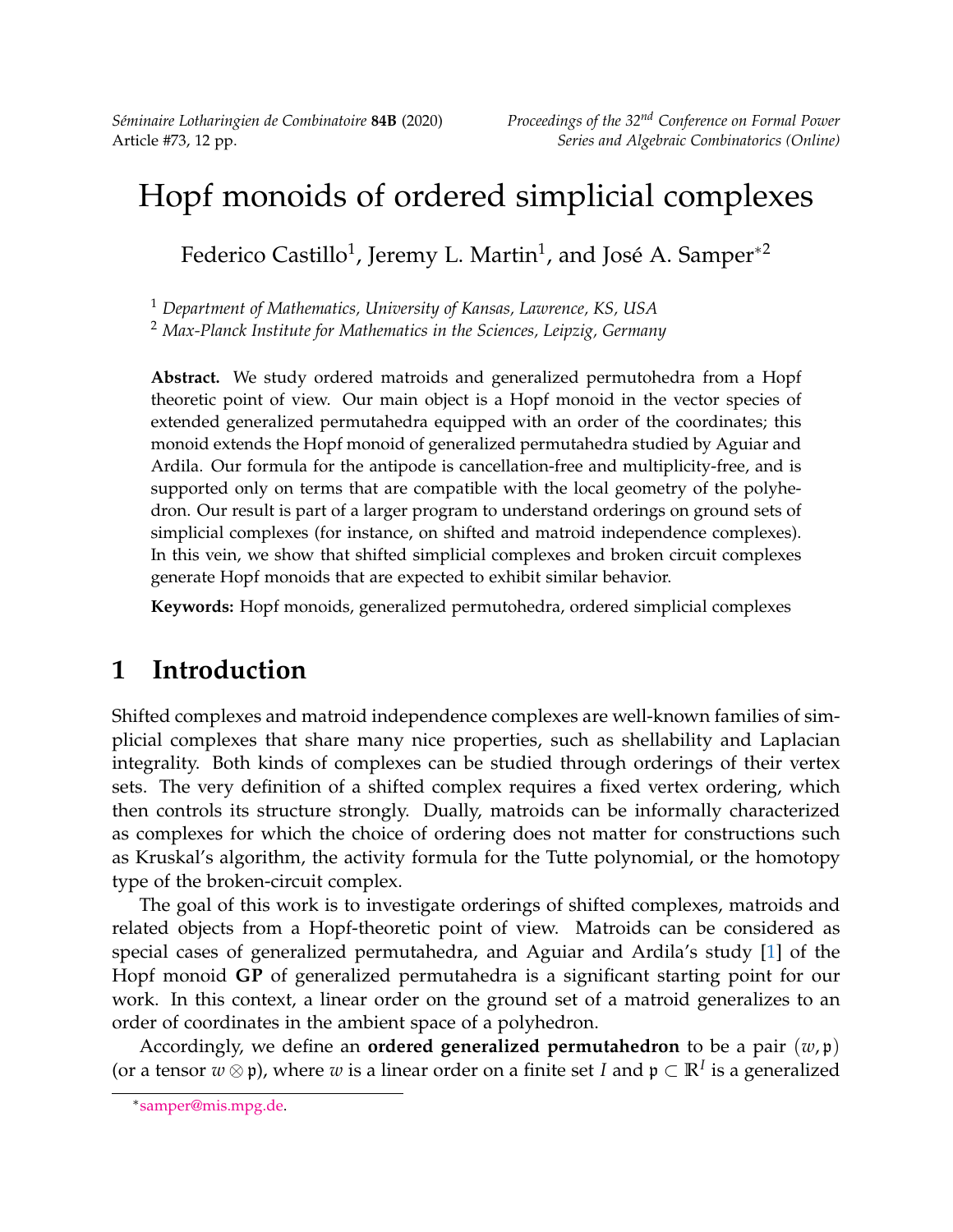*Séminaire Lotharingien de Combinatoire* **84B** (2020) *Proceedings of the 32nd Conference on Formal Power*

# Hopf monoids of ordered simplicial complexes

Federico Castillo $^1$ , Jeremy L. Martin $^1$ , and José A. Samper $^{\ast 2}$ 

<sup>1</sup> *Department of Mathematics, University of Kansas, Lawrence, KS, USA*

<sup>2</sup> *Max-Planck Institute for Mathematics in the Sciences, Leipzig, Germany*

**Abstract.** We study ordered matroids and generalized permutohedra from a Hopf theoretic point of view. Our main object is a Hopf monoid in the vector species of extended generalized permutahedra equipped with an order of the coordinates; this monoid extends the Hopf monoid of generalized permutahedra studied by Aguiar and Ardila. Our formula for the antipode is cancellation-free and multiplicity-free, and is supported only on terms that are compatible with the local geometry of the polyhedron. Our result is part of a larger program to understand orderings on ground sets of simplicial complexes (for instance, on shifted and matroid independence complexes). In this vein, we show that shifted simplicial complexes and broken circuit complexes generate Hopf monoids that are expected to exhibit similar behavior.

**Keywords:** Hopf monoids, generalized permutohedra, ordered simplicial complexes

# **1 Introduction**

Shifted complexes and matroid independence complexes are well-known families of simplicial complexes that share many nice properties, such as shellability and Laplacian integrality. Both kinds of complexes can be studied through orderings of their vertex sets. The very definition of a shifted complex requires a fixed vertex ordering, which then controls its structure strongly. Dually, matroids can be informally characterized as complexes for which the choice of ordering does not matter for constructions such as Kruskal's algorithm, the activity formula for the Tutte polynomial, or the homotopy type of the broken-circuit complex.

The goal of this work is to investigate orderings of shifted complexes, matroids and related objects from a Hopf-theoretic point of view. Matroids can be considered as special cases of generalized permutahedra, and Aguiar and Ardila's study [\[1\]](#page-11-0) of the Hopf monoid **GP** of generalized permutahedra is a significant starting point for our work. In this context, a linear order on the ground set of a matroid generalizes to an order of coordinates in the ambient space of a polyhedron.

Accordingly, we define an **ordered generalized permutahedron** to be a pair (*w*, p) (or a tensor  $w \otimes \mathfrak{p}$ ), where  $w$  is a linear order on a finite set *I* and  $\mathfrak{p} \subset \mathbb{R}^I$  is a generalized

<sup>∗</sup> [samper@mis.mpg.de.](mailto:samper@mis.mpg.de)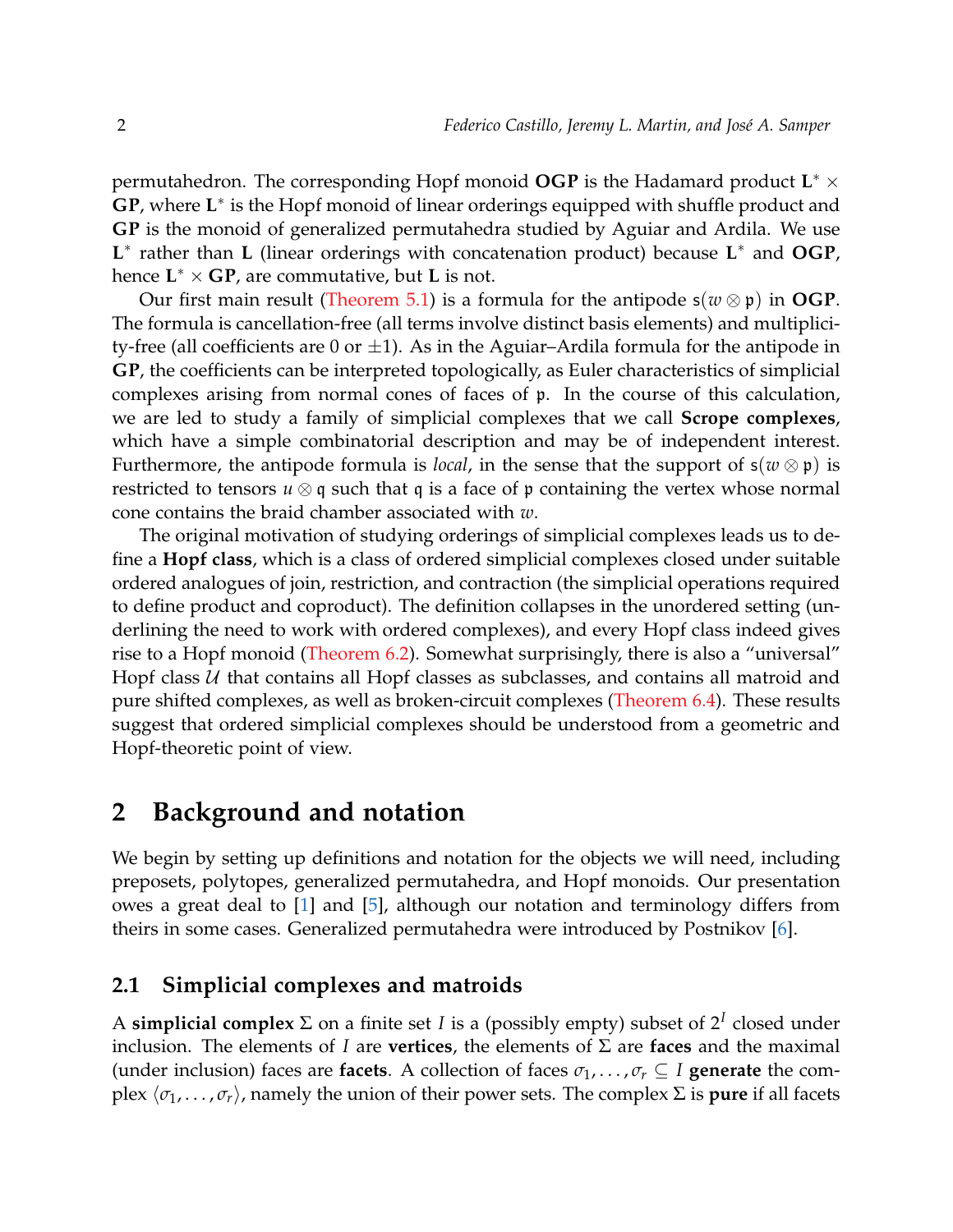permutahedron. The corresponding Hopf monoid **OGP** is the Hadamard product **L** <sup>∗</sup> × GP, where L<sup>\*</sup> is the Hopf monoid of linear orderings equipped with shuffle product and **GP** is the monoid of generalized permutahedra studied by Aguiar and Ardila. We use **L** ∗ rather than **L** (linear orderings with concatenation product) because **L** <sup>∗</sup> and **OGP**, hence **L** <sup>∗</sup> × **GP**, are commutative, but **L** is not.

Our first main result [\(Theorem 5.1\)](#page-8-0) is a formula for the antipode  $s(w \otimes p)$  in **OGP**. The formula is cancellation-free (all terms involve distinct basis elements) and multiplicity-free (all coefficients are 0 or  $\pm$ 1). As in the Aguiar–Ardila formula for the antipode in **GP**, the coefficients can be interpreted topologically, as Euler characteristics of simplicial complexes arising from normal cones of faces of p. In the course of this calculation, we are led to study a family of simplicial complexes that we call **Scrope complexes**, which have a simple combinatorial description and may be of independent interest. Furthermore, the antipode formula is *local*, in the sense that the support of  $s(w \otimes p)$  is restricted to tensors  $u \otimes q$  such that q is a face of p containing the vertex whose normal cone contains the braid chamber associated with *w*.

The original motivation of studying orderings of simplicial complexes leads us to define a **Hopf class**, which is a class of ordered simplicial complexes closed under suitable ordered analogues of join, restriction, and contraction (the simplicial operations required to define product and coproduct). The definition collapses in the unordered setting (underlining the need to work with ordered complexes), and every Hopf class indeed gives rise to a Hopf monoid [\(Theorem 6.2\)](#page-10-0). Somewhat surprisingly, there is also a "universal" Hopf class  $U$  that contains all Hopf classes as subclasses, and contains all matroid and pure shifted complexes, as well as broken-circuit complexes [\(Theorem 6.4\)](#page-10-1). These results suggest that ordered simplicial complexes should be understood from a geometric and Hopf-theoretic point of view.

#### **2 Background and notation**

We begin by setting up definitions and notation for the objects we will need, including preposets, polytopes, generalized permutahedra, and Hopf monoids. Our presentation owes a great deal to [\[1\]](#page-11-0) and [\[5\]](#page-11-1), although our notation and terminology differs from theirs in some cases. Generalized permutahedra were introduced by Postnikov [\[6\]](#page-11-2).

#### **2.1 Simplicial complexes and matroids**

A **simplicial complex** Σ on a finite set *I* is a (possibly empty) subset of 2*<sup>I</sup>* closed under inclusion. The elements of *I* are **vertices**, the elements of Σ are **faces** and the maximal (under inclusion) faces are **facets**. A collection of faces  $\sigma_1, \ldots, \sigma_r \subseteq I$  **generate** the complex  $\langle \sigma_1, \ldots, \sigma_r \rangle$ , namely the union of their power sets. The complex  $\Sigma$  is **pure** if all facets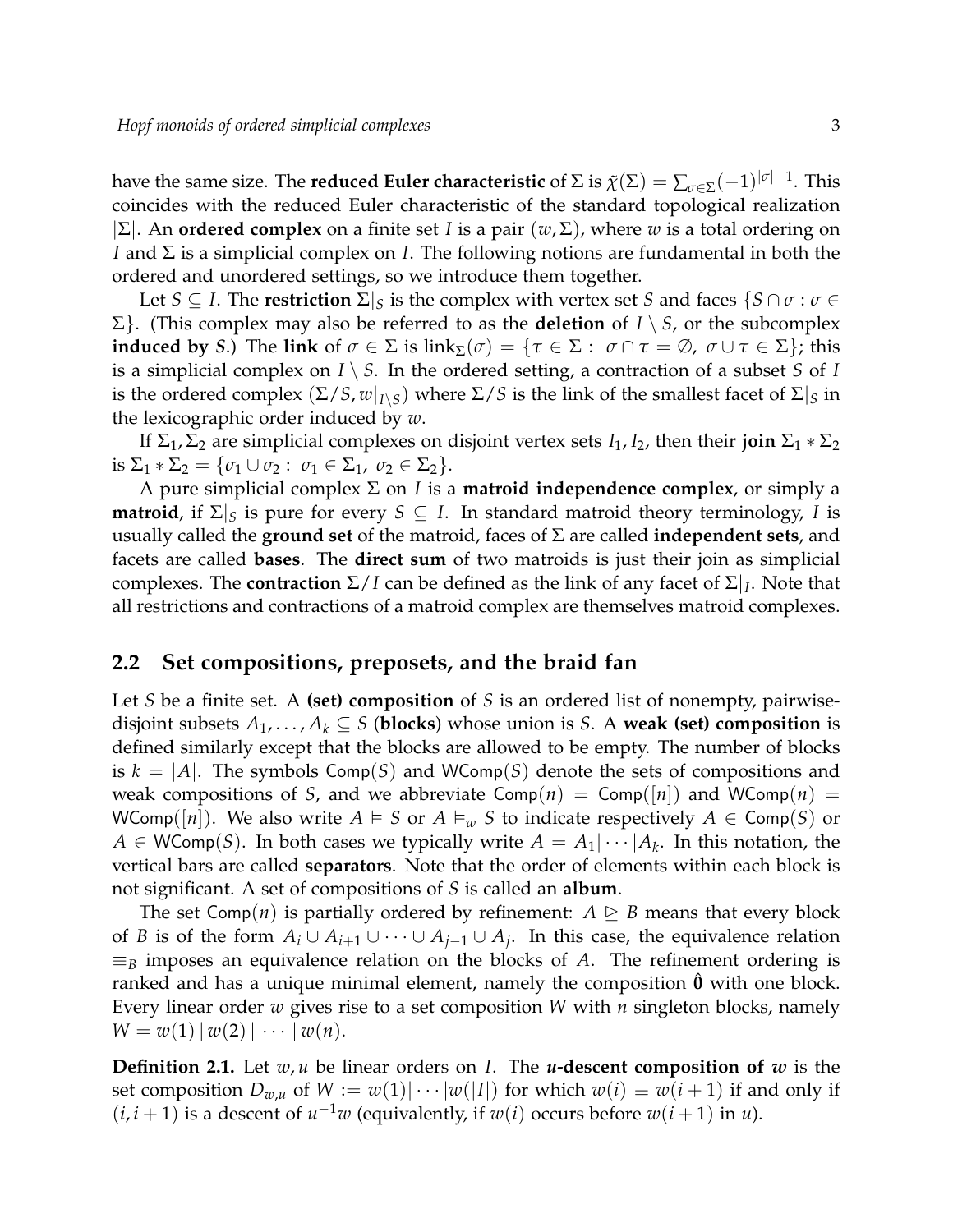have the same size. The **reduced Euler characteristic** of  $\Sigma$  is  $\tilde\chi(\Sigma) = \sum_{\sigma\in\Sigma}(-1)^{|\sigma|-1}.$  This coincides with the reduced Euler characteristic of the standard topological realization |Σ|. An **ordered complex** on a finite set *I* is a pair (*w*, Σ), where *w* is a total ordering on *I* and Σ is a simplicial complex on *I*. The following notions are fundamental in both the ordered and unordered settings, so we introduce them together.

Let *S* ⊆ *I*. The **restriction** Σ|*<sup>S</sup>* is the complex with vertex set *S* and faces {*S* ∩ *σ* : *σ* ∈ Σ}. (This complex may also be referred to as the **deletion** of *I* \ *S*, or the subcomplex **induced by** *S*.) The link of  $\sigma \in \Sigma$  is link<sub> $\Sigma(\sigma) = {\tau \in \Sigma : \sigma \cap \tau = \emptyset, \sigma \cup \tau \in \Sigma}$ ; this</sub> is a simplicial complex on  $I \setminus S$ . In the ordered setting, a contraction of a subset *S* of *I* is the ordered complex  $(\Sigma/S, w|_{I \setminus S})$  where  $\Sigma/S$  is the link of the smallest facet of  $\Sigma|_S$  in the lexicographic order induced by *w*.

If  $\Sigma_1$ ,  $\Sigma_2$  are simplicial complexes on disjoint vertex sets *I*<sub>1</sub>, *I*<sub>2</sub>, then their **join**  $\Sigma_1 * \Sigma_2$ is  $\Sigma_1 * \Sigma_2 = {\sigma_1 \cup \sigma_2 : \sigma_1 \in \Sigma_1, \sigma_2 \in \Sigma_2}.$ 

A pure simplicial complex Σ on *I* is a **matroid independence complex**, or simply a **matroid**, if  $\Sigma|_S$  is pure for every  $S \subseteq I$ . In standard matroid theory terminology, *I* is usually called the **ground set** of the matroid, faces of Σ are called **independent sets**, and facets are called **bases**. The **direct sum** of two matroids is just their join as simplicial complexes. The **contraction** Σ/*I* can be defined as the link of any facet of Σ|*<sup>I</sup>* . Note that all restrictions and contractions of a matroid complex are themselves matroid complexes.

#### **2.2 Set compositions, preposets, and the braid fan**

Let *S* be a finite set. A **(set) composition** of *S* is an ordered list of nonempty, pairwisedisjoint subsets  $A_1, \ldots, A_k \subseteq S$  (blocks) whose union is *S*. A weak (set) composition is defined similarly except that the blocks are allowed to be empty. The number of blocks is  $k = |A|$ . The symbols Comp(S) and WComp(S) denote the sets of compositions and weak compositions of *S*, and we abbreviate  $Comp(n) = Comp([n])$  and  $WComp(n) =$ WComp( $|n|$ ). We also write  $A \models S$  or  $A \models_w S$  to indicate respectively  $A \in \text{Comp}(S)$  or  $A \in \mathsf{WComp}(S)$ . In both cases we typically write  $A = A_1 | \cdots | A_k$ . In this notation, the vertical bars are called **separators**. Note that the order of elements within each block is not significant. A set of compositions of *S* is called an **album**.

The set Comp(*n*) is partially ordered by refinement:  $A \geq B$  means that every block of *B* is of the form  $A_i \cup A_{i+1} \cup \cdots \cup A_{j-1} \cup A_j$ . In this case, the equivalence relation  $\equiv_B$  imposes an equivalence relation on the blocks of *A*. The refinement ordering is ranked and has a unique minimal element, namely the composition **0**ˆ with one block. Every linear order *w* gives rise to a set composition *W* with *n* singleton blocks, namely  $W = w(1) | w(2) | \cdots | w(n).$ 

**Definition 2.1.** Let *w*, *u* be linear orders on *I*. The *u***-descent composition of** *w* is the set composition  $D_{w,u}$  of  $W := w(1) \cdot \cdot \cdot \cdot |w(|I|)$  for which  $w(i) \equiv w(i+1)$  if and only if  $(i, i + 1)$  is a descent of  $u^{-1}w$  (equivalently, if  $w(i)$  occurs before  $w(i + 1)$  in  $u$ ).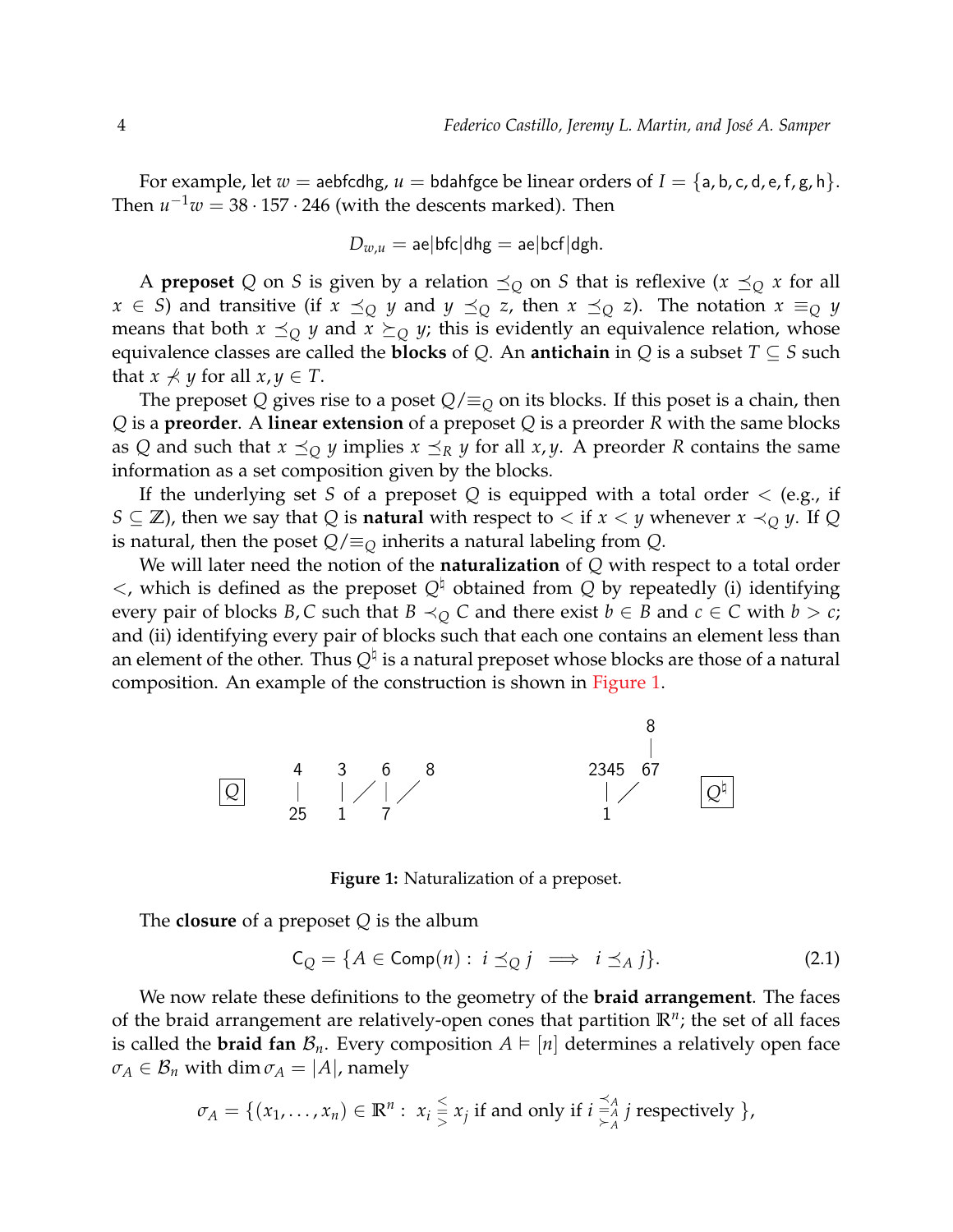For example, let  $w =$  aebfcdhg,  $u =$  bdahfgce be linear orders of  $I = \{a, b, c, d, e, f, g, h\}$ . Then  $u^{-1}w = 38 \cdot 157 \cdot 246$  (with the descents marked). Then

$$
D_{w,u} = \mathsf{ae}|\mathsf{bfc}| \mathsf{dhg} = \mathsf{ae}|\mathsf{bcf}| \mathsf{dgh}.
$$

A **preposet** Q on *S* is given by a relation  $\preceq_{Q}$  on *S* that is reflexive  $(x \preceq_{Q} x$  for all *x* ∈ *S*) and transitive (if *x*  $\preceq_Q$  *y* and *y*  $\preceq_Q$  *z*, then *x*  $\preceq_Q$  *z*). The notation *x*  $\equiv_Q$  *y* means that both  $x \preceq_{Q} y$  and  $x \succeq_{Q} y$ ; this is evidently an equivalence relation, whose equivalence classes are called the **blocks** of *Q*. An **antichain** in *Q* is a subset  $T \subseteq S$  such that  $x \nless y$  for all  $x, y \in T$ .

The preposet *Q* gives rise to a poset *Q*/≡*<sup>Q</sup>* on its blocks. If this poset is a chain, then *Q* is a **preorder**. A **linear extension** of a preposet *Q* is a preorder *R* with the same blocks as *Q* and such that  $x \preceq_Q y$  implies  $x \preceq_R y$  for all  $x, y$ . A preorder *R* contains the same information as a set composition given by the blocks.

If the underlying set *S* of a preposet *Q* is equipped with a total order < (e.g., if *S* ⊆ **Z**), then we say that *Q* is **natural** with respect to  $\lt$  if *x*  $\lt$  *y* whenever *x*  $\lt$ <sub>*Q*</sub> *y*. If *Q* is natural, then the poset  $Q/\equiv_Q$  inherits a natural labeling from  $Q$ .

We will later need the notion of the **naturalization** of *Q* with respect to a total order  $\lt$ , which is defined as the preposet  $Q^{\natural}$  obtained from  $Q$  by repeatedly (i) identifying every pair of blocks *B*, *C* such that *B*  $\prec_Q$  *C* and there exist *b*  $\in$  *B* and *c*  $\in$  *C* with *b*  $> c$ ; and (ii) identifying every pair of blocks such that each one contains an element less than an element of the other. Thus  $Q^\natural$  is a natural preposet whose blocks are those of a natural composition. An example of the construction is shown in [Figure 1.](#page-3-0)

<span id="page-3-0"></span>

**Figure 1:** Naturalization of a preposet.

The **closure** of a preposet *Q* is the album

$$
C_Q = \{ A \in \text{Comp}(n) : i \leq_Q j \implies i \leq_A j \}. \tag{2.1}
$$

We now relate these definitions to the geometry of the **braid arrangement**. The faces of the braid arrangement are relatively-open cones that partition **R***<sup>n</sup>* ; the set of all faces is called the **braid fan**  $\mathcal{B}_n$ . Every composition  $A \models [n]$  determines a relatively open face  $\sigma_A \in \mathcal{B}_n$  with dim  $\sigma_A = |A|$ , namely

$$
\sigma_A = \{ (x_1, \ldots, x_n) \in \mathbb{R}^n : x_i \leqq x_j \text{ if and only if } i \geqq_A^{\prec_A} j \text{ respectively } \},
$$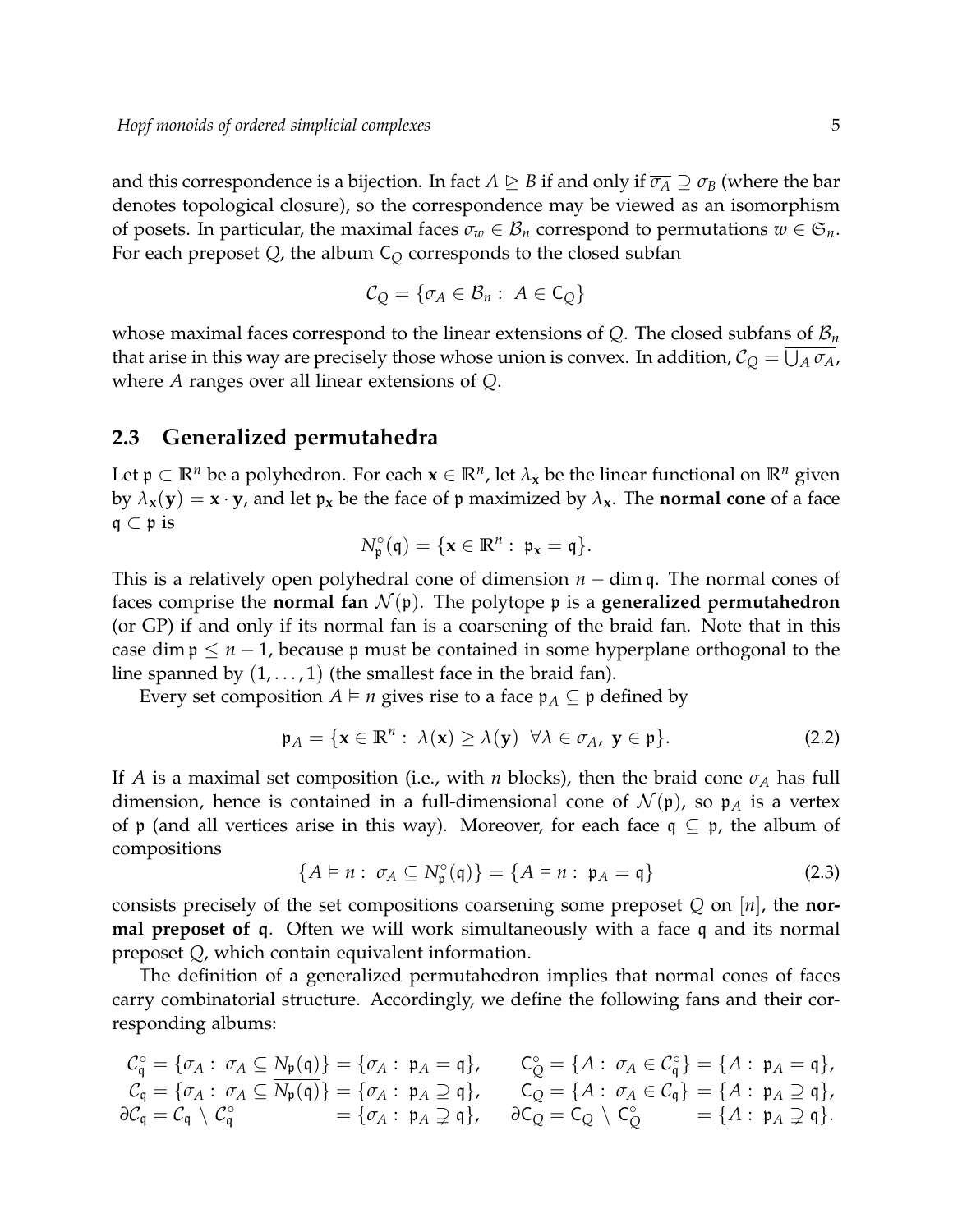and this correspondence is a bijection. In fact  $A \trianglerighteq B$  if and only if  $\overline{\sigma_A} \supseteq \sigma_B$  (where the bar denotes topological closure), so the correspondence may be viewed as an isomorphism of posets. In particular, the maximal faces  $\sigma_w \in \mathcal{B}_n$  correspond to permutations  $w \in \mathfrak{S}_n$ . For each preposet *Q*, the album C*<sup>Q</sup>* corresponds to the closed subfan

$$
\mathcal{C}_Q = \{ \sigma_A \in \mathcal{B}_n : A \in C_Q \}
$$

whose maximal faces correspond to the linear extensions of *Q*. The closed subfans of B*<sup>n</sup>* that arise in this way are precisely those whose union is convex. In addition,  $\mathcal{C}_Q = \overline{\bigcup_A \sigma_A}$ , where *A* ranges over all linear extensions of *Q*.

#### **2.3 Generalized permutahedra**

Let  $\mathfrak{p} \subset \mathbb{R}^n$  be a polyhedron. For each  $\mathbf{x} \in \mathbb{R}^n$ , let  $\lambda_{\mathbf{x}}$  be the linear functional on  $\mathbb{R}^n$  given by  $\lambda_{\bf x}({\bf y}) = {\bf x} \cdot {\bf y}$ , and let  ${\bf p}_{\bf x}$  be the face of  ${\bf p}$  maximized by  $\lambda_{\bf x}$ . The **normal cone** of a face  $q \subset p$  is

$$
N_\mathfrak{p}^\circ(\mathfrak{q})=\{\boldsymbol{x}\in\mathbb{R}^n:\ \mathfrak{p}_\boldsymbol{x}=\mathfrak{q}\}.
$$

This is a relatively open polyhedral cone of dimension *n* − dim q. The normal cones of faces comprise the **normal fan**  $\mathcal{N}(\mathfrak{p})$ . The polytope  $\mathfrak{p}$  is a **generalized permutahedron** (or GP) if and only if its normal fan is a coarsening of the braid fan. Note that in this case dim  $p \leq n-1$ , because p must be contained in some hyperplane orthogonal to the line spanned by  $(1, \ldots, 1)$  (the smallest face in the braid fan).

Every set composition  $A \models n$  gives rise to a face  $\mathfrak{p}_A \subseteq \mathfrak{p}$  defined by

$$
\mathfrak{p}_A = \{ \mathbf{x} \in \mathbb{R}^n : \ \lambda(\mathbf{x}) \ge \lambda(\mathbf{y}) \ \forall \lambda \in \sigma_A, \ \mathbf{y} \in \mathfrak{p} \}. \tag{2.2}
$$

If *A* is a maximal set composition (i.e., with *n* blocks), then the braid cone  $\sigma_A$  has full dimension, hence is contained in a full-dimensional cone of  $\mathcal{N}(\mathfrak{p})$ , so  $\mathfrak{p}_A$  is a vertex of p (and all vertices arise in this way). Moreover, for each face  $q \subseteq p$ , the album of compositions

$$
\{A \vDash n : \sigma_A \subseteq N_{\mathfrak{p}}^{\circ}(\mathfrak{q})\} = \{A \vDash n : \mathfrak{p}_A = \mathfrak{q}\}\
$$
 (2.3)

consists precisely of the set compositions coarsening some preposet *Q* on [*n*], the **normal preposet of** q. Often we will work simultaneously with a face q and its normal preposet *Q*, which contain equivalent information.

The definition of a generalized permutahedron implies that normal cones of faces carry combinatorial structure. Accordingly, we define the following fans and their corresponding albums:

$$
C_q^{\circ} = \{\sigma_A : \sigma_A \subseteq N_{\mathfrak{p}}(\mathfrak{q})\} = \{\sigma_A : \mathfrak{p}_A = \mathfrak{q}\}, \qquad C_Q^{\circ} = \{A : \sigma_A \in C_q^{\circ}\} = \{A : \mathfrak{p}_A = \mathfrak{q}\},
$$
  
\n
$$
C_q = \{\sigma_A : \sigma_A \subseteq \overline{N_{\mathfrak{p}}(\mathfrak{q})}\} = \{\sigma_A : \mathfrak{p}_A \supseteq \mathfrak{q}\}, \qquad C_Q = \{A : \sigma_A \in C_{\mathfrak{q}}\} = \{A : \mathfrak{p}_A \supseteq \mathfrak{q}\},
$$
  
\n
$$
\partial C_q = C_q \setminus C_q^{\circ} = \{\sigma_A : \mathfrak{p}_A \supseteq \mathfrak{q}\}, \qquad \partial C_Q = C_Q \setminus C_Q^{\circ} = \{A : \mathfrak{p}_A \supseteq \mathfrak{q}\}.
$$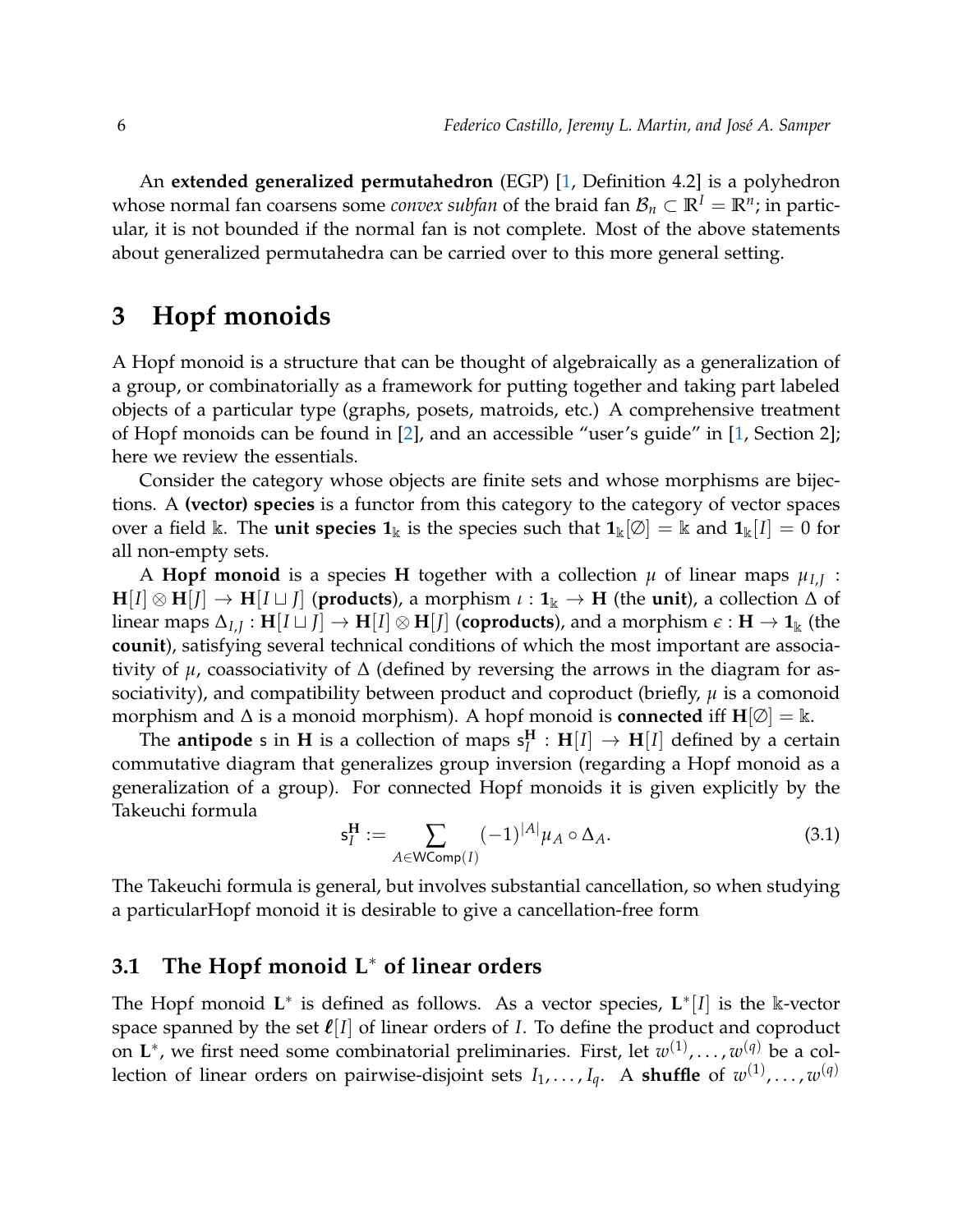An **extended generalized permutahedron** (EGP) [\[1,](#page-11-0) Definition 4.2] is a polyhedron whose normal fan coarsens some *convex subfan* of the braid fan  $\mathcal{B}_n\subset\mathbb{R}^I=\mathbb{R}^n;$  in particular, it is not bounded if the normal fan is not complete. Most of the above statements about generalized permutahedra can be carried over to this more general setting.

### **3 Hopf monoids**

A Hopf monoid is a structure that can be thought of algebraically as a generalization of a group, or combinatorially as a framework for putting together and taking part labeled objects of a particular type (graphs, posets, matroids, etc.) A comprehensive treatment of Hopf monoids can be found in [\[2\]](#page-11-3), and an accessible "user's guide" in [\[1,](#page-11-0) Section 2]; here we review the essentials.

Consider the category whose objects are finite sets and whose morphisms are bijections. A **(vector) species** is a functor from this category to the category of vector spaces over a field k. The **unit species 1**<sub>k</sub> is the species such that  $\mathbf{1}_k[\emptyset] = k$  and  $\mathbf{1}_k[I] = 0$  for all non-empty sets.

A **Hopf monoid** is a species **H** together with a collection  $\mu$  of linear maps  $\mu_{I,J}$  :  $H[I] \otimes H[I] \rightarrow H[I \sqcup J]$  (**products**), a morphism  $\iota: \mathbf{1}_k \rightarrow H$  (the **unit**), a collection  $\Delta$  of  $\ln$   $\ln$   $\Delta$ <sub>*I,J*</sub> :  $\textbf{H}[I \sqcup J] \rightarrow \textbf{H}[I] \otimes \textbf{H}[J]$  (coproducts), and a morphism  $\epsilon$  :  $\textbf{H} \rightarrow \textbf{1}_{\Bbbk}$  (the **counit**), satisfying several technical conditions of which the most important are associativity of *µ*, coassociativity of ∆ (defined by reversing the arrows in the diagram for associativity), and compatibility between product and coproduct (briefly, *µ* is a comonoid morphism and  $\Delta$  is a monoid morphism). A hopf monoid is **connected** iff  $\mathbf{H}[\emptyset] = \mathbb{k}$ .

The **antipode** s in **H** is a collection of maps  $s_l^H$  $\mathbf{H}^{\mathbf{H}}_I : \mathbf{H}[I] \rightarrow \mathbf{H}[I]$  defined by a certain commutative diagram that generalizes group inversion (regarding a Hopf monoid as a generalization of a group). For connected Hopf monoids it is given explicitly by the Takeuchi formula

$$
\mathsf{s}_I^{\mathbf{H}} := \sum_{A \in \mathsf{WComp}(I)} (-1)^{|A|} \mu_A \circ \Delta_A.
$$
 (3.1)

The Takeuchi formula is general, but involves substantial cancellation, so when studying a particularHopf monoid it is desirable to give a cancellation-free form

#### **3.1 The Hopf monoid L**<sup>∗</sup> **of linear orders**

The Hopf monoid L<sup>\*</sup> is defined as follows. As a vector species, L<sup>\*</sup>[I] is the k-vector space spanned by the set  $\ell[I]$  of linear orders of *I*. To define the product and coproduct on L<sup>∗</sup>, we first need some combinatorial preliminaries. First, let  $w^{(1)}$ ,..., $w^{(q)}$  be a collection of linear orders on pairwise-disjoint sets  $I_1,\ldots,I_q.$  A **shuffle** of  $w^{(1)},\ldots,w^{(q)}$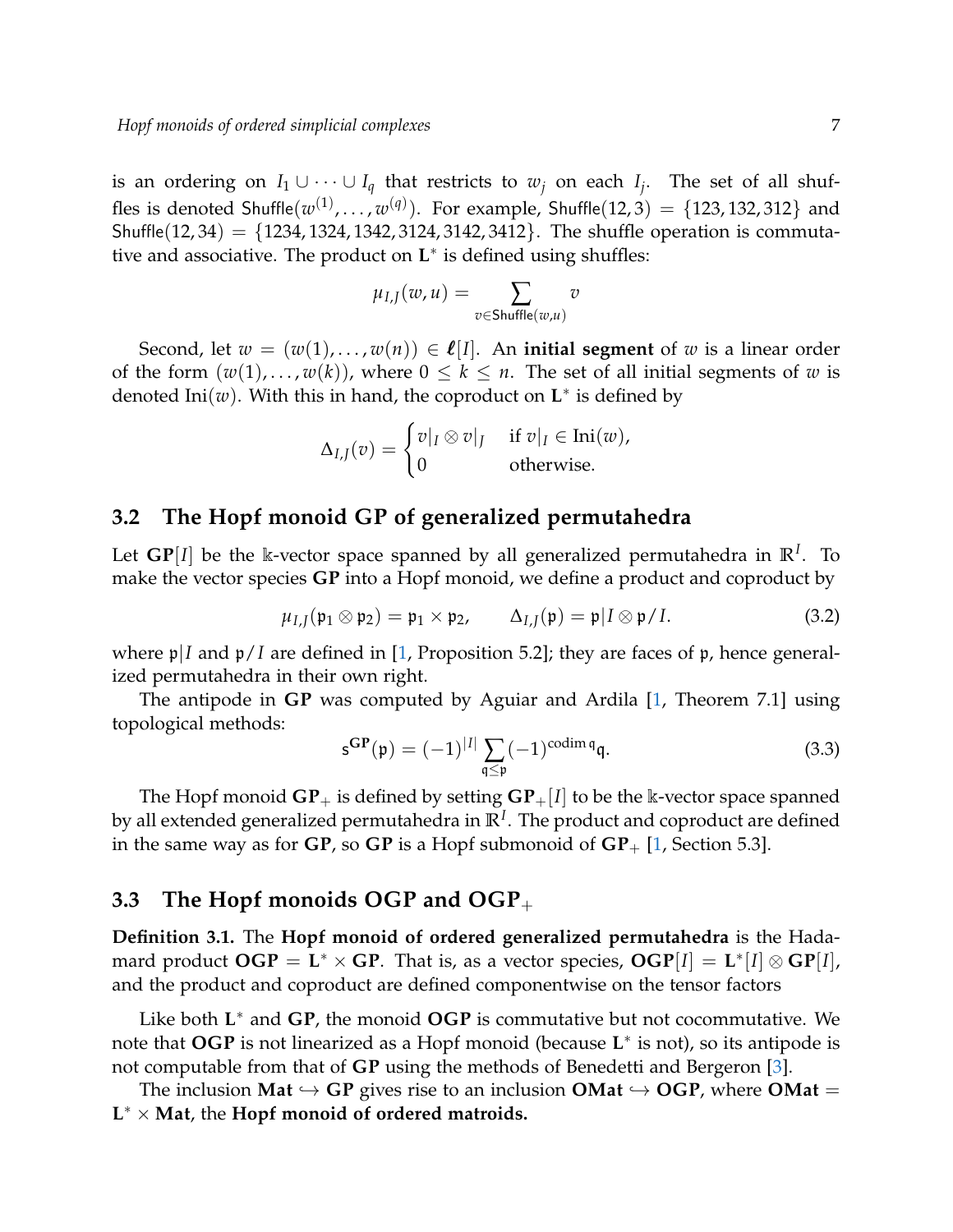is an ordering on  $I_1 \cup \cdots \cup I_q$  that restricts to  $w_j$  on each  $I_j$ . The set of all shuffles is denoted  $\mathsf{Shuffle}(w^{(1)}, \ldots, w^{(q)}).$  For example,  $\mathsf{Shuffle}(12,3) = \{123, 132, 312\}$  and Shuffle(12, 34) = {1234, 1324, 1342, 3124, 3142, 3412}. The shuffle operation is commutative and associative. The product on **L** ∗ is defined using shuffles:

$$
\mu_{I,J}(w,u) = \sum_{v \in \mathsf{Shuffle}(w,u)} v
$$

Second, let  $w = (w(1), \ldots, w(n)) \in \ell[I]$ . An **initial segment** of w is a linear order of the form  $(w(1), \ldots, w(k))$ , where  $0 \le k \le n$ . The set of all initial segments of *w* is denoted  $\text{Ini}(w)$ . With this in hand, the coproduct on  $\mathbf{L}^*$  is defined by

$$
\Delta_{I,J}(v) = \begin{cases} v|_I \otimes v|_J & \text{if } v|_I \in \text{Ini}(w), \\ 0 & \text{otherwise.} \end{cases}
$$

#### **3.2 The Hopf monoid GP of generalized permutahedra**

Let  $\mathbf{GP}[I]$  be the k-vector space spanned by all generalized permutahedra in  $\mathbb{R}^I$ . To make the vector species **GP** into a Hopf monoid, we define a product and coproduct by

$$
\mu_{I,J}(\mathfrak{p}_1 \otimes \mathfrak{p}_2) = \mathfrak{p}_1 \times \mathfrak{p}_2, \qquad \Delta_{I,J}(\mathfrak{p}) = \mathfrak{p} | I \otimes \mathfrak{p} / I. \tag{3.2}
$$

where  $\mathfrak{p}/I$  and  $\mathfrak{p}/I$  are defined in [\[1,](#page-11-0) Proposition 5.2]; they are faces of  $\mathfrak{p}$ , hence generalized permutahedra in their own right.

The antipode in **GP** was computed by Aguiar and Ardila [\[1,](#page-11-0) Theorem 7.1] using topological methods:

$$
\mathbf{s}^{\mathbf{GP}}(\mathbf{p}) = (-1)^{|I|} \sum_{\mathbf{q} \le \mathbf{p}} (-1)^{\operatorname{codim} \mathbf{q}} \mathbf{q}.
$$
 (3.3)

The Hopf monoid  $\mathbf{GP}_+$  is defined by setting  $\mathbf{GP}_+[I]$  to be the k-vector space spanned by all extended generalized permutahedra in  $\mathbb{R}^I.$  The product and coproduct are defined in the same way as for  $\mathbf{GP}$ , so  $\mathbf{GP}$  is a Hopf submonoid of  $\mathbf{GP}_{+}$  [\[1,](#page-11-0) Section 5.3].

#### **3.3 The Hopf monoids OGP and OGP**<sup>+</sup>

**Definition 3.1.** The **Hopf monoid of ordered generalized permutahedra** is the Hadamard product  $OGP = L^* \times GP$ . That is, as a vector species,  $OGP[I] = L^*[I] \otimes GP[I]$ , and the product and coproduct are defined componentwise on the tensor factors

Like both L<sup>\*</sup> and GP, the monoid OGP is commutative but not cocommutative. We note that **OGP** is not linearized as a Hopf monoid (because **L** ∗ is not), so its antipode is not computable from that of **GP** using the methods of Benedetti and Bergeron [\[3\]](#page-11-4).

The inclusion **Mat**  $\hookrightarrow$  **GP** gives rise to an inclusion **OMat**  $\hookrightarrow$  **OGP**, where **OMat** = **L** <sup>∗</sup> × **Mat**, the **Hopf monoid of ordered matroids.**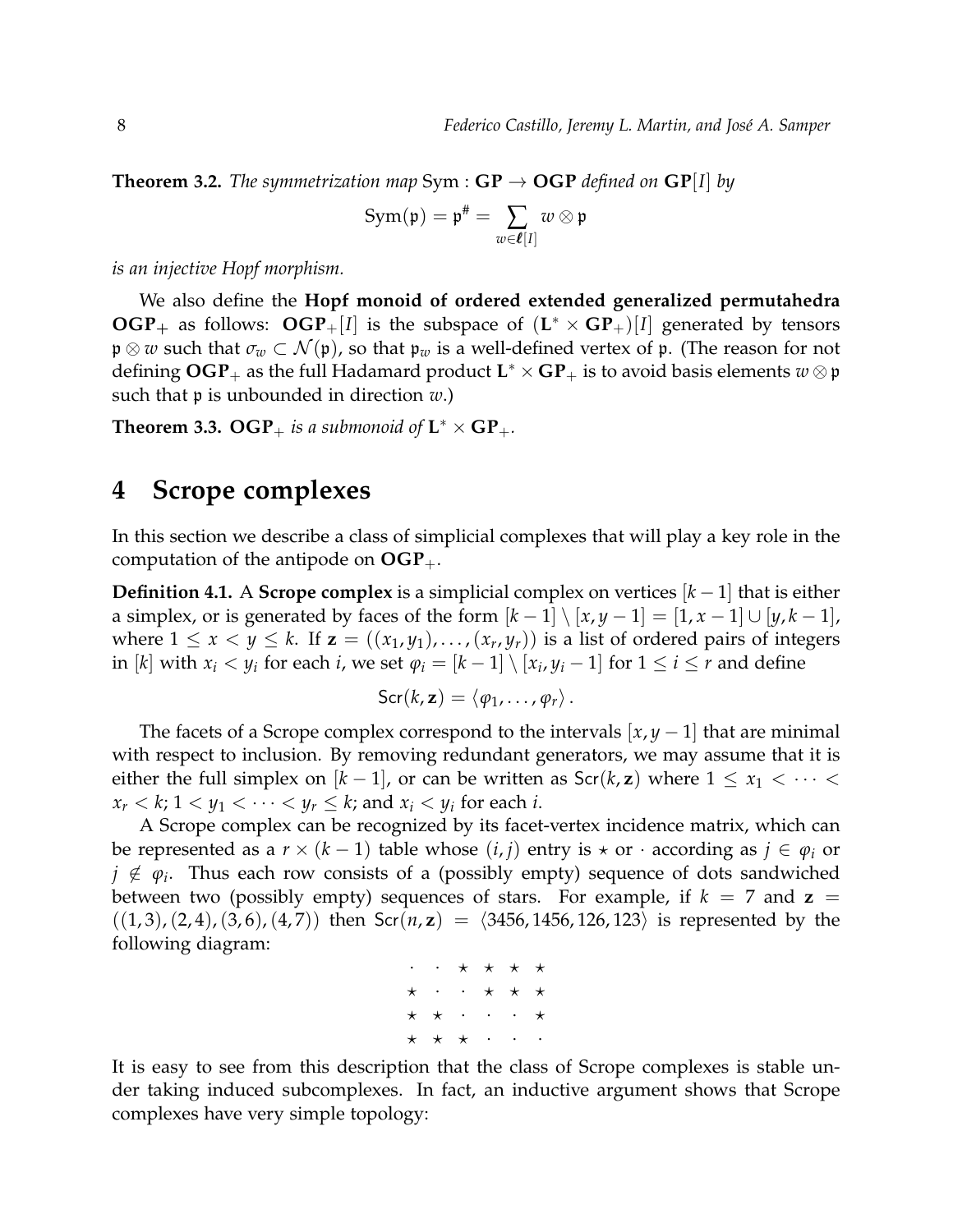**Theorem 3.2.** *The symmetrization map* Sym :  $GP \rightarrow OGP$  *defined on*  $GP[I]$  *by* 

$$
\text{Sym}(\mathfrak{p})=\mathfrak{p}^{\#}=\sum_{w\in \boldsymbol{\ell}[I]}w\otimes \mathfrak{p}
$$

*is an injective Hopf morphism.*

We also define the **Hopf monoid of ordered extended generalized permutahedra OGP**<sub>+</sub> as follows:  $OGP$ <sub>+</sub>[*I*] is the subspace of  $(L^* \times GP_+)$ [*I*] generated by tensors p ⊗ *w* such that *σ<sup>w</sup>* ⊂ N (p), so that p*<sup>w</sup>* is a well-defined vertex of p. (The reason for not defining  $\mathbf{OGP}_{+}$  as the full Hadamard product  $\mathbf{L}^* \times \mathbf{GP}_{+}$  is to avoid basis elements  $w \otimes \mathfrak{p}$ such that p is unbounded in direction *w*.)

**Theorem 3.3.**  $\mathbf{OGP}_{+}$  *is a submonoid of*  $\mathbf{L}^* \times \mathbf{GP}_{+}$ *.* 

### <span id="page-7-0"></span>**4 Scrope complexes**

In this section we describe a class of simplicial complexes that will play a key role in the computation of the antipode on  $OGP_+$ .

**Definition 4.1.** A **Scrope complex** is a simplicial complex on vertices  $[k-1]$  that is either a simplex, or is generated by faces of the form  $[k-1] \setminus [x, y-1] = [1, x-1] \cup [y, k-1]$ , where  $1 \leq x < y \leq k$ . If  $\mathbf{z} = ((x_1, y_1), \dots, (x_r, y_r))$  is a list of ordered pairs of integers in  $[k]$  with  $x_i < y_i$  for each *i*, we set  $\varphi_i = [k-1] \setminus [x_i, y_i-1]$  for  $1 \leq i \leq r$  and define

$$
\mathsf{Scr}(k, \mathbf{z}) = \langle \varphi_1, \ldots, \varphi_r \rangle \, .
$$

The facets of a Scrope complex correspond to the intervals  $[x, y - 1]$  that are minimal with respect to inclusion. By removing redundant generators, we may assume that it is either the full simplex on  $[k-1]$ , or can be written as  $\text{Scr}(k, z)$  where  $1 \le x_1 < \cdots <$  $x_r < k$ ;  $1 < y_1 < \cdots < y_r \le k$ ; and  $x_i < y_i$  for each *i*.

A Scrope complex can be recognized by its facet-vertex incidence matrix, which can be represented as a  $r \times (k-1)$  table whose  $(i, j)$  entry is  $\star$  or  $\cdot$  according as  $j \in \varphi_i$  or  $j \notin \varphi_i$ . Thus each row consists of a (possibly empty) sequence of dots sandwiched between two (possibly empty) sequences of stars. For example, if  $k = 7$  and  $z =$  $((1, 3), (2, 4), (3, 6), (4, 7))$  then Scr $(n, z) = (3456, 1456, 126, 123)$  is represented by the following diagram:

|  | $\cdot\quad\cdot\quad \star\quad \star\quad \star\quad \star\quad \star$ |  |  |
|--|--------------------------------------------------------------------------|--|--|
|  | $\star$ $\cdot$ $\cdot$ $\star$ $\star$ $\star$                          |  |  |
|  | $\star$ $\star$ $\cdot$ $\cdot$ $\star$                                  |  |  |
|  | $\star$ $\star$ $\star$ $\cdot$ $\cdot$ $\cdot$                          |  |  |

It is easy to see from this description that the class of Scrope complexes is stable under taking induced subcomplexes. In fact, an inductive argument shows that Scrope complexes have very simple topology: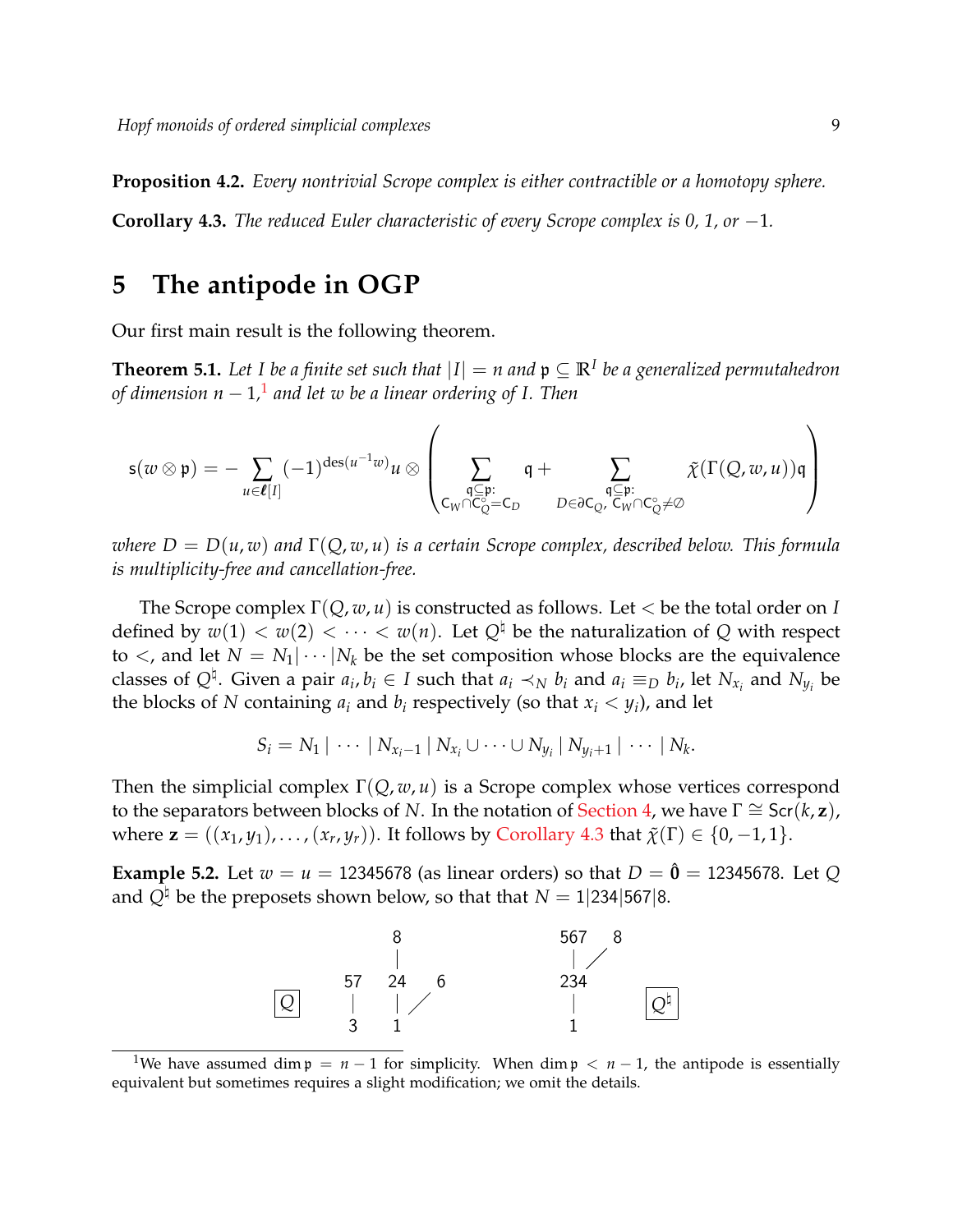**Proposition 4.2.** *Every nontrivial Scrope complex is either contractible or a homotopy sphere.*

<span id="page-8-2"></span>**Corollary 4.3.** *The reduced Euler characteristic of every Scrope complex is 0, 1, or* −1*.*

# **5 The antipode in OGP**

<span id="page-8-0"></span>Our first main result is the following theorem.

**Theorem 5.1.** Let I be a finite set such that  $|I| = n$  and  $\mathfrak{p} \subseteq \mathbb{R}^I$  be a generalized permutahedron *of dimension n* − 1*,* [1](#page-8-1) *and let w be a linear ordering of I. Then*

$$
\mathsf{s}(w\otimes\mathfrak{p})=-\sum_{u\in\boldsymbol{\ell}[I]}(-1)^{\mathrm{des}(u^{-1}w)}u\otimes\left(\sum_{\substack{\mathfrak{q}\subseteq\mathfrak{p}:\\\mathsf{C}_{W}\cap\mathsf{C}_{Q}^{\circ}= \mathsf{C}_{D}}} \mathfrak{q}+\sum_{\substack{\mathfrak{q}\subseteq\mathfrak{p}:\\\mathsf{D}\in\partial\mathsf{C}_{Q},\ \mathsf{C}_{W}\cap\mathsf{C}_{Q}^{\circ}\neq\varnothing}}\tilde{\chi}(\Gamma(Q,w,u))\mathfrak{q}\right)
$$

*where D* = *D*(*u*, *w*) *and* Γ(*Q*, *w*, *u*) *is a certain Scrope complex, described below. This formula is multiplicity-free and cancellation-free.*

The Scrope complex Γ(*Q*, *w*, *u*) is constructed as follows. Let < be the total order on *I* defined by  $w(1) < w(2) < \cdots < w(n)$ . Let  $Q^{\dagger}$  be the naturalization of *Q* with respect to  $\lt$ , and let  $N = N_1 | \cdots | N_k$  be the set composition whose blocks are the equivalence classes of  $Q^{\natural}$ . Given a pair  $a_i, b_i \in I$  such that  $a_i \prec_N b_i$  and  $a_i \equiv_D b_i$ , let  $N_{x_i}$  and  $N_{y_i}$  be the blocks of *N* containing  $a_i$  and  $b_i$  respectively (so that  $x_i < y_i$ ), and let

$$
S_i = N_1 | \cdots | N_{x_i-1} | N_{x_i} \cup \cdots \cup N_{y_i} | N_{y_i+1} | \cdots | N_k.
$$

Then the simplicial complex Γ(*Q*, *w*, *u*) is a Scrope complex whose vertices correspond to the separators between blocks of *N*. In the notation of [Section 4,](#page-7-0) we have  $\Gamma \cong \text{Scr}(k, z)$ , where  $\mathbf{z} = ((x_1, y_1), \dots, (x_r, y_r))$ . It follows by [Corollary 4.3](#page-8-2) that  $\tilde{\chi}(\Gamma) \in \{0, -1, 1\}$ .

**Example 5.2.** Let  $w = u = 12345678$  (as linear orders) so that  $D = \hat{\mathbf{0}} = 12345678$ . Let *Q* and  $Q^{\sharp}$  be the preposets shown below, so that that  $N = 1/234/567/8$ .



<span id="page-8-1"></span><sup>&</sup>lt;sup>1</sup>We have assumed dim  $p = n - 1$  for simplicity. When dim  $p < n - 1$ , the antipode is essentially equivalent but sometimes requires a slight modification; we omit the details.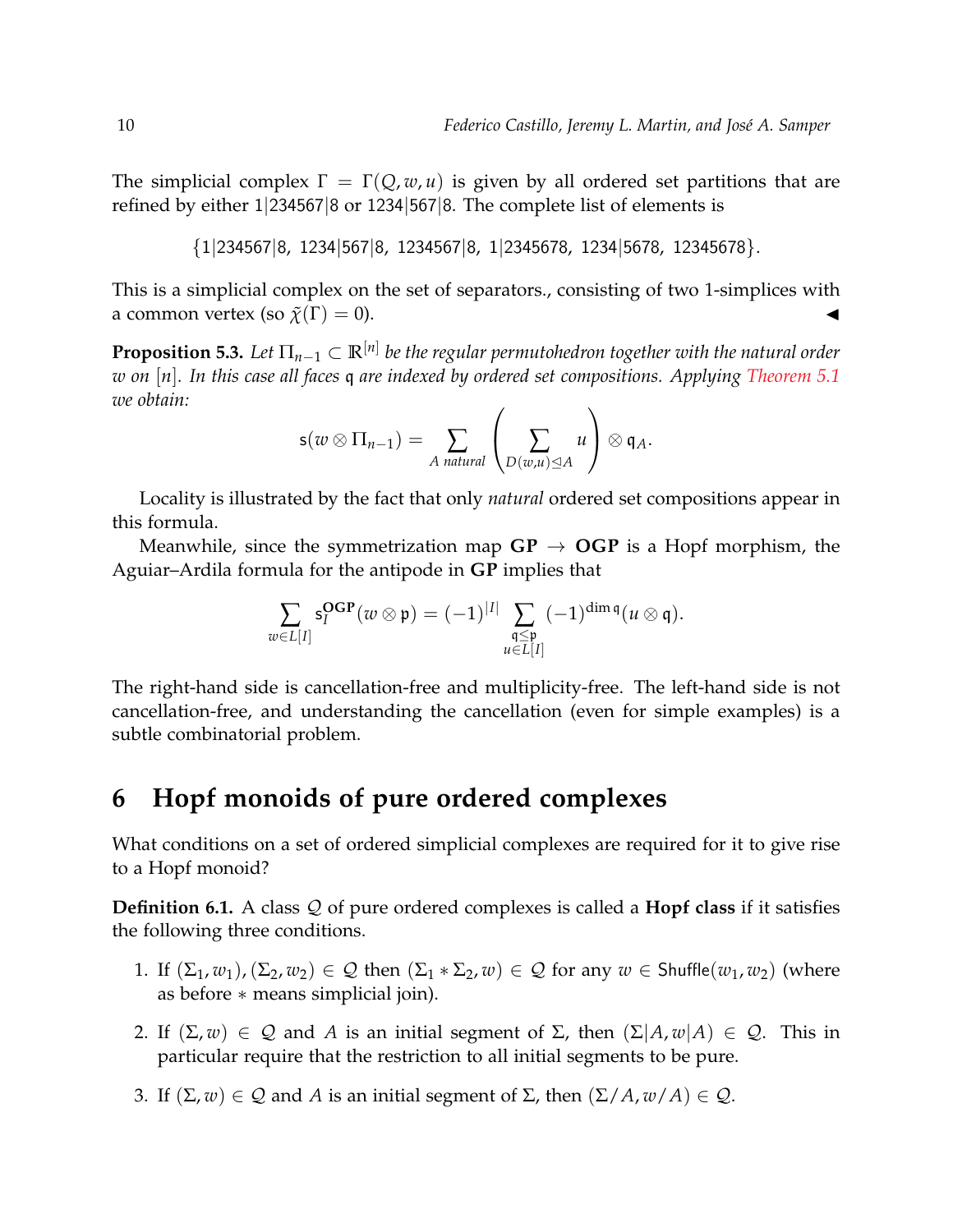The simplicial complex  $\Gamma = \Gamma(Q, w, u)$  is given by all ordered set partitions that are refined by either 1|234567|8 or 1234|567|8. The complete list of elements is

```
{1|234567|8, 1234|567|8, 1234567|8, 1|2345678, 1234|5678, 12345678}.
```
This is a simplicial complex on the set of separators., consisting of two 1-simplices with a common vertex (so  $\tilde{\chi}(\Gamma) = 0$ ).

**Proposition 5.3.** *Let* Π*n*−<sup>1</sup> ⊂ **R**[*n*] *be the regular permutohedron together with the natural order w on* [*n*]*. In this case all faces* q *are indexed by ordered set compositions. Applying [Theorem 5.1](#page-8-0) we obtain:*

$$
s(w \otimes \Pi_{n-1}) = \sum_{A \text{ natural}} \left( \sum_{D(w,u) \leq A} u \right) \otimes q_A.
$$

Locality is illustrated by the fact that only *natural* ordered set compositions appear in this formula.

Meanwhile, since the symmetrization map  $GP \rightarrow OGP$  is a Hopf morphism, the Aguiar–Ardila formula for the antipode in **GP** implies that

$$
\sum_{w\in L[I]} \mathsf{s}_I^{\mathbf{OGP}}(w\otimes \mathfrak{p}) = (-1)^{|I|} \sum_{\substack{\mathfrak{q}\leq \mathfrak{p} \\ u\in L[I]}} (-1)^{\dim \mathfrak{q}} (u\otimes \mathfrak{q}).
$$

The right-hand side is cancellation-free and multiplicity-free. The left-hand side is not cancellation-free, and understanding the cancellation (even for simple examples) is a subtle combinatorial problem.

# **6 Hopf monoids of pure ordered complexes**

What conditions on a set of ordered simplicial complexes are required for it to give rise to a Hopf monoid?

<span id="page-9-0"></span>**Definition 6.1.** A class Q of pure ordered complexes is called a **Hopf class** if it satisfies the following three conditions.

- 1. If  $(\Sigma_1, w_1), (\Sigma_2, w_2) \in \mathcal{Q}$  then  $(\Sigma_1 * \Sigma_2, w) \in \mathcal{Q}$  for any  $w \in$  Shuffle $(w_1, w_2)$  (where as before ∗ means simplicial join).
- 2. If  $(\Sigma, w) \in \mathcal{Q}$  and *A* is an initial segment of  $\Sigma$ , then  $(\Sigma | A, w | A) \in \mathcal{Q}$ . This in particular require that the restriction to all initial segments to be pure.
- 3. If  $(\Sigma, w) \in \mathcal{Q}$  and *A* is an initial segment of  $\Sigma$ , then  $(\Sigma / A, w / A) \in \mathcal{Q}$ .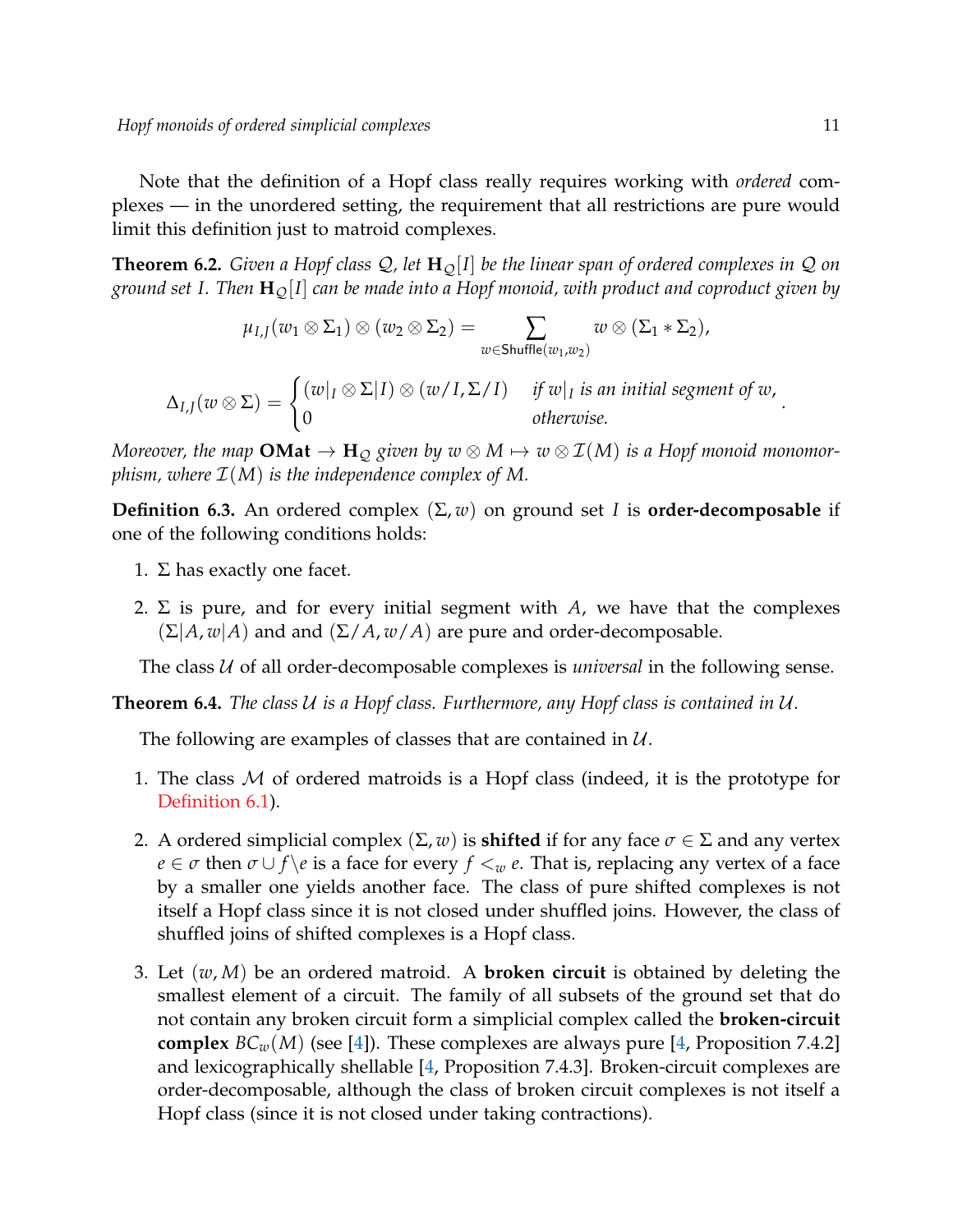Note that the definition of a Hopf class really requires working with *ordered* complexes — in the unordered setting, the requirement that all restrictions are pure would limit this definition just to matroid complexes.

<span id="page-10-0"></span>**Theorem 6.2.** *Given a Hopf class*  $Q$ , let  $H<sub>O</sub>[I]$  *be the linear span of ordered complexes in*  $Q$  *on ground set I. Then* **H**Q[*I*] *can be made into a Hopf monoid, with product and coproduct given by*

$$
\mu_{I,J}(w_1\otimes \Sigma_1)\otimes (w_2\otimes \Sigma_2)=\sum_{w\in \mathsf{Shuffle}(w_1,w_2)}w\otimes (\Sigma_1*\Sigma_2),
$$

 $\Delta_{I,J}(w \otimes \Sigma) = \begin{cases} (w|_I \otimes \Sigma | I) \otimes (w/I, \Sigma / I) & \text{if } w|_I \text{ is an initial segment of } w, \\ 0 & \text{otherwise.} \end{cases}$ 0 *otherwise.*

*Moreover, the map*  $OMat \to H_Q$  *given by*  $w \otimes M \mapsto w \otimes I(M)$  *is a Hopf monoid monomorphism, where*  $\mathcal{I}(M)$  *is the independence complex of M.* 

**Definition 6.3.** An ordered complex (Σ, *w*) on ground set *I* is **order-decomposable** if one of the following conditions holds:

- 1.  $\Sigma$  has exactly one facet.
- 2.  $\Sigma$  is pure, and for every initial segment with *A*, we have that the complexes  $(\Sigma | A, w | A)$  and and  $(\Sigma / A, w / A)$  are pure and order-decomposable.

The class  $U$  of all order-decomposable complexes is *universal* in the following sense.

<span id="page-10-1"></span>**Theorem 6.4.** *The class* U *is a Hopf class. Furthermore, any Hopf class is contained in* U*.*

The following are examples of classes that are contained in  $U$ .

- 1. The class  $M$  of ordered matroids is a Hopf class (indeed, it is the prototype for [Definition 6.1\)](#page-9-0).
- 2. A ordered simplicial complex  $(\Sigma, w)$  is **shifted** if for any face  $\sigma \in \Sigma$  and any vertex *e*  $\in \sigma$  then  $\sigma \cup f$  \*e* is a face for every  $f \leq w$  *e*. That is, replacing any vertex of a face by a smaller one yields another face. The class of pure shifted complexes is not itself a Hopf class since it is not closed under shuffled joins. However, the class of shuffled joins of shifted complexes is a Hopf class.
- 3. Let (*w*, *M*) be an ordered matroid. A **broken circuit** is obtained by deleting the smallest element of a circuit. The family of all subsets of the ground set that do not contain any broken circuit form a simplicial complex called the **broken-circuit complex**  $BC_w(M)$  (see [\[4\]](#page-11-5)). These complexes are always pure [\[4,](#page-11-5) Proposition 7.4.2] and lexicographically shellable [\[4,](#page-11-5) Proposition 7.4.3]. Broken-circuit complexes are order-decomposable, although the class of broken circuit complexes is not itself a Hopf class (since it is not closed under taking contractions).

.